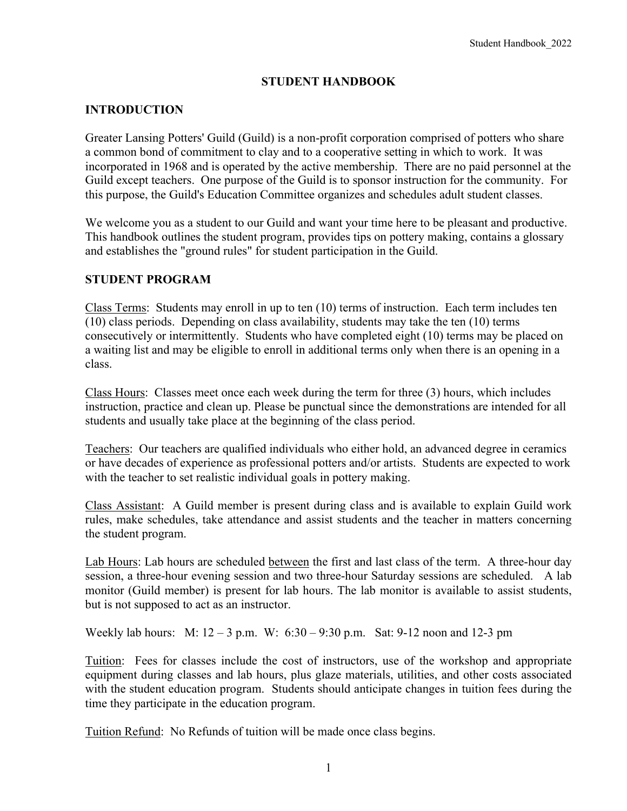## **STUDENT HANDBOOK**

## **INTRODUCTION**

Greater Lansing Potters' Guild (Guild) is a non-profit corporation comprised of potters who share a common bond of commitment to clay and to a cooperative setting in which to work. It was incorporated in 1968 and is operated by the active membership. There are no paid personnel at the Guild except teachers. One purpose of the Guild is to sponsor instruction for the community. For this purpose, the Guild's Education Committee organizes and schedules adult student classes.

We welcome you as a student to our Guild and want your time here to be pleasant and productive. This handbook outlines the student program, provides tips on pottery making, contains a glossary and establishes the "ground rules" for student participation in the Guild.

## **STUDENT PROGRAM**

Class Terms: Students may enroll in up to ten (10) terms of instruction. Each term includes ten (10) class periods. Depending on class availability, students may take the ten (10) terms consecutively or intermittently. Students who have completed eight (10) terms may be placed on a waiting list and may be eligible to enroll in additional terms only when there is an opening in a class.

Class Hours: Classes meet once each week during the term for three (3) hours, which includes instruction, practice and clean up. Please be punctual since the demonstrations are intended for all students and usually take place at the beginning of the class period.

Teachers: Our teachers are qualified individuals who either hold, an advanced degree in ceramics or have decades of experience as professional potters and/or artists. Students are expected to work with the teacher to set realistic individual goals in pottery making.

Class Assistant: A Guild member is present during class and is available to explain Guild work rules, make schedules, take attendance and assist students and the teacher in matters concerning the student program.

Lab Hours: Lab hours are scheduled between the first and last class of the term. A three-hour day session, a three-hour evening session and two three-hour Saturday sessions are scheduled. A lab monitor (Guild member) is present for lab hours. The lab monitor is available to assist students, but is not supposed to act as an instructor.

Weekly lab hours: M: 12 – 3 p.m. W: 6:30 – 9:30 p.m. Sat: 9-12 noon and 12-3 pm

Tuition: Fees for classes include the cost of instructors, use of the workshop and appropriate equipment during classes and lab hours, plus glaze materials, utilities, and other costs associated with the student education program. Students should anticipate changes in tuition fees during the time they participate in the education program.

Tuition Refund: No Refunds of tuition will be made once class begins.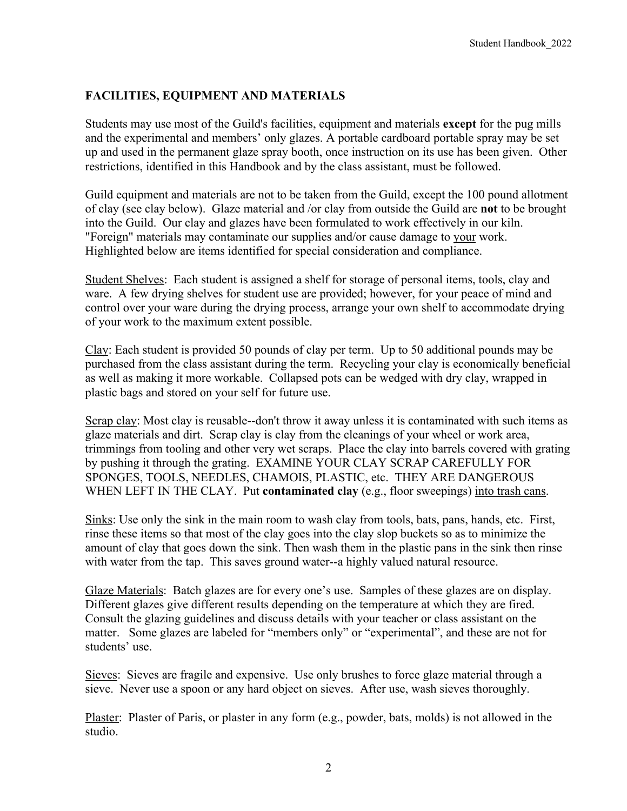# **FACILITIES, EQUIPMENT AND MATERIALS**

Students may use most of the Guild's facilities, equipment and materials **except** for the pug mills and the experimental and members' only glazes. A portable cardboard portable spray may be set up and used in the permanent glaze spray booth, once instruction on its use has been given. Other restrictions, identified in this Handbook and by the class assistant, must be followed.

Guild equipment and materials are not to be taken from the Guild, except the 100 pound allotment of clay (see clay below). Glaze material and /or clay from outside the Guild are **not** to be brought into the Guild. Our clay and glazes have been formulated to work effectively in our kiln. "Foreign" materials may contaminate our supplies and/or cause damage to your work. Highlighted below are items identified for special consideration and compliance.

Student Shelves: Each student is assigned a shelf for storage of personal items, tools, clay and ware. A few drying shelves for student use are provided; however, for your peace of mind and control over your ware during the drying process, arrange your own shelf to accommodate drying of your work to the maximum extent possible.

Clay: Each student is provided 50 pounds of clay per term. Up to 50 additional pounds may be purchased from the class assistant during the term. Recycling your clay is economically beneficial as well as making it more workable. Collapsed pots can be wedged with dry clay, wrapped in plastic bags and stored on your self for future use.

Scrap clay: Most clay is reusable--don't throw it away unless it is contaminated with such items as glaze materials and dirt. Scrap clay is clay from the cleanings of your wheel or work area, trimmings from tooling and other very wet scraps. Place the clay into barrels covered with grating by pushing it through the grating. EXAMINE YOUR CLAY SCRAP CAREFULLY FOR SPONGES, TOOLS, NEEDLES, CHAMOIS, PLASTIC, etc. THEY ARE DANGEROUS WHEN LEFT IN THE CLAY. Put **contaminated clay** (e.g., floor sweepings) into trash cans.

Sinks: Use only the sink in the main room to wash clay from tools, bats, pans, hands, etc. First, rinse these items so that most of the clay goes into the clay slop buckets so as to minimize the amount of clay that goes down the sink. Then wash them in the plastic pans in the sink then rinse with water from the tap. This saves ground water--a highly valued natural resource.

Glaze Materials: Batch glazes are for every one's use. Samples of these glazes are on display. Different glazes give different results depending on the temperature at which they are fired. Consult the glazing guidelines and discuss details with your teacher or class assistant on the matter. Some glazes are labeled for "members only" or "experimental", and these are not for students' use.

Sieves: Sieves are fragile and expensive. Use only brushes to force glaze material through a sieve. Never use a spoon or any hard object on sieves. After use, wash sieves thoroughly.

Plaster: Plaster of Paris, or plaster in any form (e.g., powder, bats, molds) is not allowed in the studio.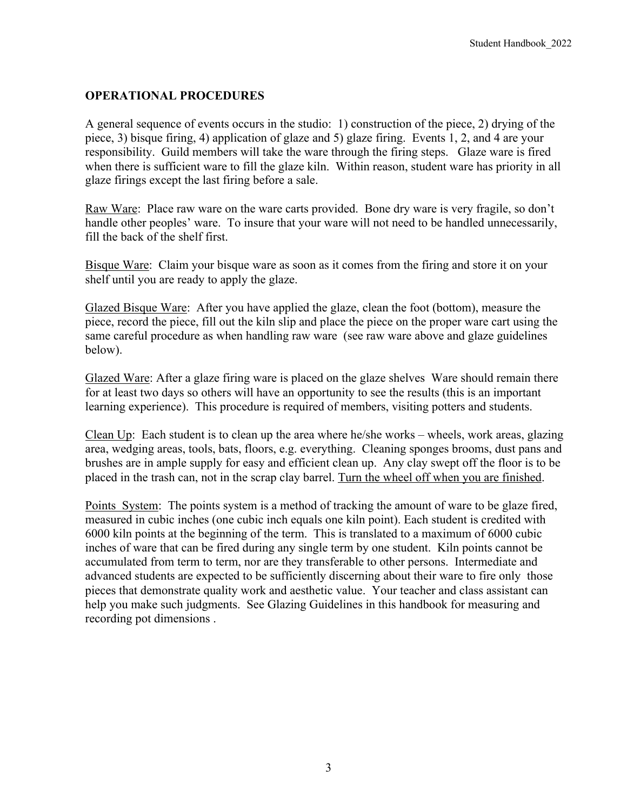## **OPERATIONAL PROCEDURES**

A general sequence of events occurs in the studio: 1) construction of the piece, 2) drying of the piece, 3) bisque firing, 4) application of glaze and 5) glaze firing. Events 1, 2, and 4 are your responsibility. Guild members will take the ware through the firing steps. Glaze ware is fired when there is sufficient ware to fill the glaze kiln. Within reason, student ware has priority in all glaze firings except the last firing before a sale.

Raw Ware: Place raw ware on the ware carts provided. Bone dry ware is very fragile, so don't handle other peoples' ware. To insure that your ware will not need to be handled unnecessarily, fill the back of the shelf first.

Bisque Ware: Claim your bisque ware as soon as it comes from the firing and store it on your shelf until you are ready to apply the glaze.

Glazed Bisque Ware: After you have applied the glaze, clean the foot (bottom), measure the piece, record the piece, fill out the kiln slip and place the piece on the proper ware cart using the same careful procedure as when handling raw ware (see raw ware above and glaze guidelines below).

Glazed Ware: After a glaze firing ware is placed on the glaze shelves Ware should remain there for at least two days so others will have an opportunity to see the results (this is an important learning experience). This procedure is required of members, visiting potters and students.

Clean Up: Each student is to clean up the area where he/she works – wheels, work areas, glazing area, wedging areas, tools, bats, floors, e.g. everything. Cleaning sponges brooms, dust pans and brushes are in ample supply for easy and efficient clean up. Any clay swept off the floor is to be placed in the trash can, not in the scrap clay barrel. Turn the wheel off when you are finished.

Points System: The points system is a method of tracking the amount of ware to be glaze fired, measured in cubic inches (one cubic inch equals one kiln point). Each student is credited with 6000 kiln points at the beginning of the term. This is translated to a maximum of 6000 cubic inches of ware that can be fired during any single term by one student. Kiln points cannot be accumulated from term to term, nor are they transferable to other persons. Intermediate and advanced students are expected to be sufficiently discerning about their ware to fire only those pieces that demonstrate quality work and aesthetic value. Your teacher and class assistant can help you make such judgments. See Glazing Guidelines in this handbook for measuring and recording pot dimensions .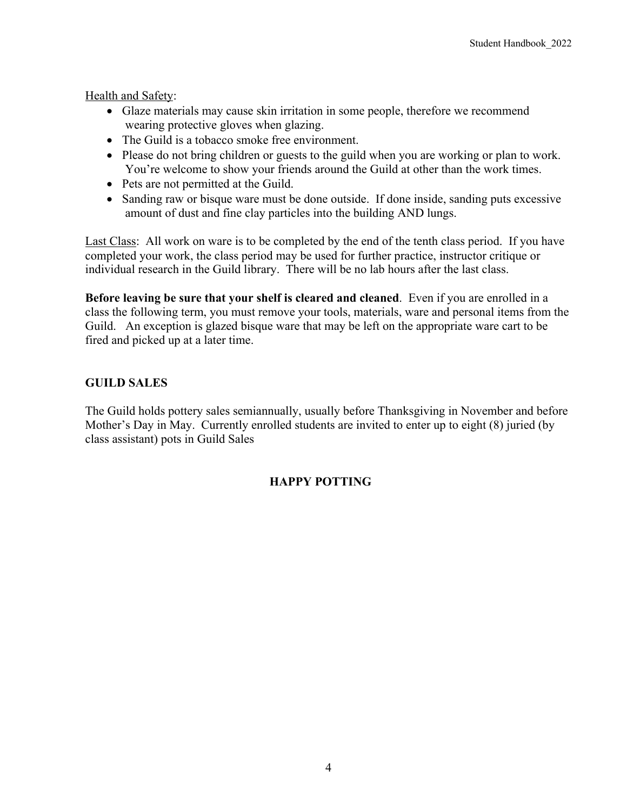Health and Safety:

- Glaze materials may cause skin irritation in some people, therefore we recommend wearing protective gloves when glazing.
- The Guild is a tobacco smoke free environment.
- Please do not bring children or guests to the guild when you are working or plan to work. You're welcome to show your friends around the Guild at other than the work times.
- Pets are not permitted at the Guild.
- Sanding raw or bisque ware must be done outside. If done inside, sanding puts excessive amount of dust and fine clay particles into the building AND lungs.

Last Class: All work on ware is to be completed by the end of the tenth class period. If you have completed your work, the class period may be used for further practice, instructor critique or individual research in the Guild library. There will be no lab hours after the last class.

**Before leaving be sure that your shelf is cleared and cleaned**. Even if you are enrolled in a class the following term, you must remove your tools, materials, ware and personal items from the Guild. An exception is glazed bisque ware that may be left on the appropriate ware cart to be fired and picked up at a later time.

# **GUILD SALES**

The Guild holds pottery sales semiannually, usually before Thanksgiving in November and before Mother's Day in May. Currently enrolled students are invited to enter up to eight (8) juried (by class assistant) pots in Guild Sales

# **HAPPY POTTING**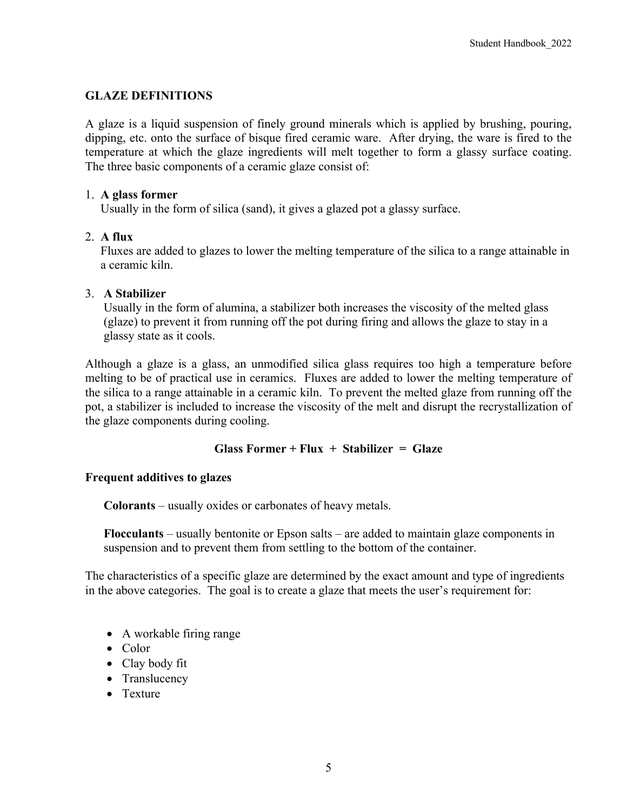## **GLAZE DEFINITIONS**

A glaze is a liquid suspension of finely ground minerals which is applied by brushing, pouring, dipping, etc. onto the surface of bisque fired ceramic ware. After drying, the ware is fired to the temperature at which the glaze ingredients will melt together to form a glassy surface coating. The three basic components of a ceramic glaze consist of:

#### 1. **A glass former**

Usually in the form of silica (sand), it gives a glazed pot a glassy surface.

### 2. **A flux**

Fluxes are added to glazes to lower the melting temperature of the silica to a range attainable in a ceramic kiln.

#### 3. **A Stabilizer**

 Usually in the form of alumina, a stabilizer both increases the viscosity of the melted glass (glaze) to prevent it from running off the pot during firing and allows the glaze to stay in a glassy state as it cools.

Although a glaze is a glass, an unmodified silica glass requires too high a temperature before melting to be of practical use in ceramics. Fluxes are added to lower the melting temperature of the silica to a range attainable in a ceramic kiln. To prevent the melted glaze from running off the pot, a stabilizer is included to increase the viscosity of the melt and disrupt the recrystallization of the glaze components during cooling.

### **Glass Former + Flux + Stabilizer = Glaze**

#### **Frequent additives to glazes**

 **Colorants** – usually oxides or carbonates of heavy metals.

 **Flocculants** – usually bentonite or Epson salts – are added to maintain glaze components in suspension and to prevent them from settling to the bottom of the container.

The characteristics of a specific glaze are determined by the exact amount and type of ingredients in the above categories. The goal is to create a glaze that meets the user's requirement for:

- A workable firing range
- Color
- Clay body fit
- Translucency
- Texture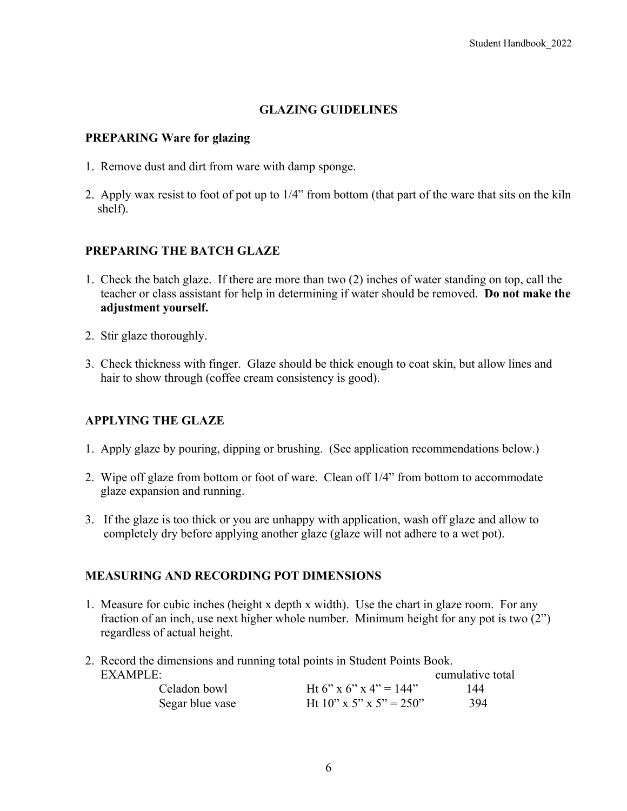## **GLAZING GUIDELINES**

#### **PREPARING Ware for glazing**

- 1. Remove dust and dirt from ware with damp sponge.
- 2. Apply wax resist to foot of pot up to 1/4" from bottom (that part of the ware that sits on the kiln shelf).

### **PREPARING THE BATCH GLAZE**

- 1. Check the batch glaze. If there are more than two (2) inches of water standing on top, call the teacher or class assistant for help in determining if water should be removed. **Do not make the adjustment yourself.**
- 2. Stir glaze thoroughly.
- 3. Check thickness with finger. Glaze should be thick enough to coat skin, but allow lines and hair to show through (coffee cream consistency is good).

### **APPLYING THE GLAZE**

- 1. Apply glaze by pouring, dipping or brushing. (See application recommendations below.)
- 2. Wipe off glaze from bottom or foot of ware. Clean off 1/4" from bottom to accommodate glaze expansion and running.
- 3. If the glaze is too thick or you are unhappy with application, wash off glaze and allow to completely dry before applying another glaze (glaze will not adhere to a wet pot).

### **MEASURING AND RECORDING POT DIMENSIONS**

- 1. Measure for cubic inches (height x depth x width). Use the chart in glaze room. For any fraction of an inch, use next higher whole number. Minimum height for any pot is two (2") regardless of actual height.
- 2. Record the dimensions and running total points in Student Points Book.

| EXAMPLE:        |                         | cumulative total |
|-----------------|-------------------------|------------------|
| Celadon bowl    | Ht 6" x 6" x 4" = 144"  | 144              |
| Segar blue vase | Ht 10" x 5" x 5" = 250" | 394              |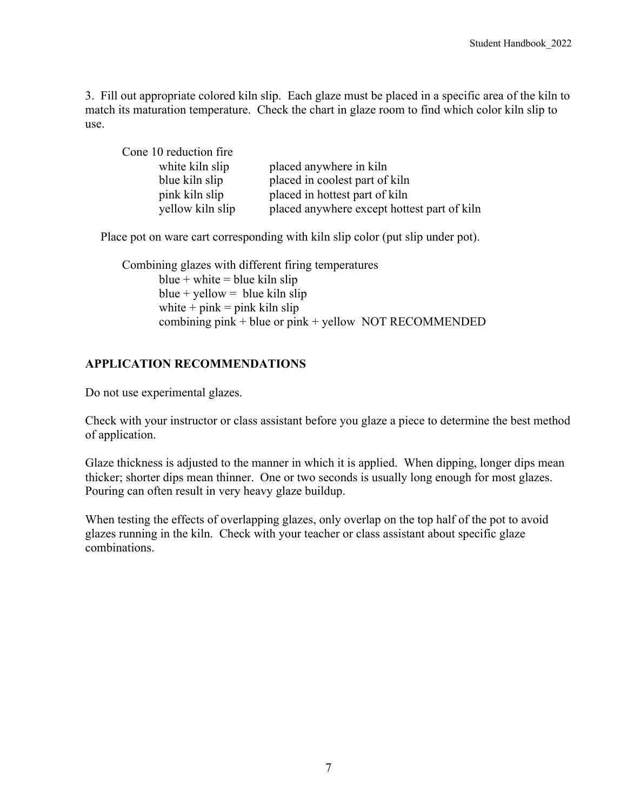3. Fill out appropriate colored kiln slip. Each glaze must be placed in a specific area of the kiln to match its maturation temperature. Check the chart in glaze room to find which color kiln slip to use.

| Cone 10 reduction fire |                                             |
|------------------------|---------------------------------------------|
| white kiln slip        | placed anywhere in kiln                     |
| blue kiln slip         | placed in coolest part of kiln              |
| pink kiln slip         | placed in hottest part of kiln              |
| yellow kiln slip       | placed anywhere except hottest part of kiln |

Place pot on ware cart corresponding with kiln slip color (put slip under pot).

Combining glazes with different firing temperatures blue + white = blue kiln slip blue + yellow = blue kiln slip white  $+$  pink = pink kiln slip combining pink  $+$  blue or pink  $+$  yellow NOT RECOMMENDED

### **APPLICATION RECOMMENDATIONS**

Do not use experimental glazes.

Check with your instructor or class assistant before you glaze a piece to determine the best method of application.

Glaze thickness is adjusted to the manner in which it is applied. When dipping, longer dips mean thicker; shorter dips mean thinner. One or two seconds is usually long enough for most glazes. Pouring can often result in very heavy glaze buildup.

When testing the effects of overlapping glazes, only overlap on the top half of the pot to avoid glazes running in the kiln. Check with your teacher or class assistant about specific glaze combinations.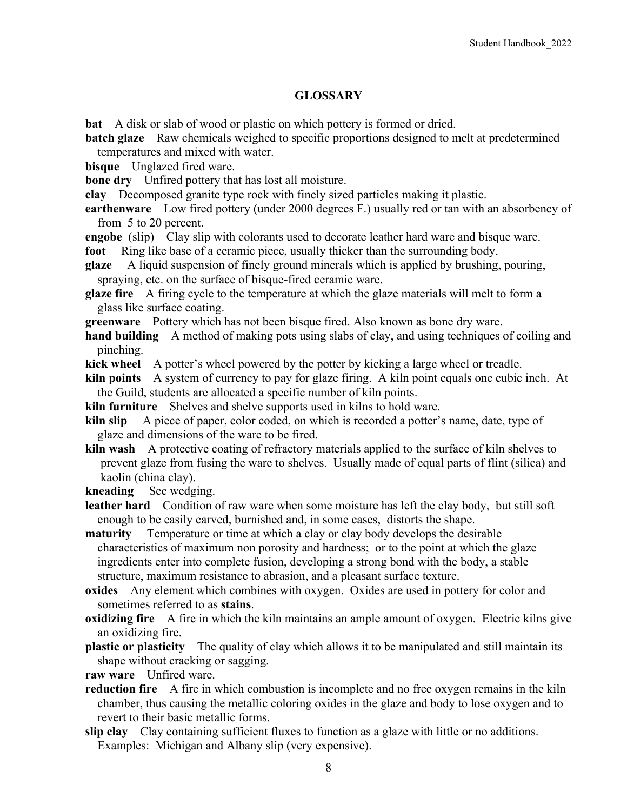#### **GLOSSARY**

**bat** A disk or slab of wood or plastic on which pottery is formed or dried.

- **batch glaze** Raw chemicals weighed to specific proportions designed to melt at predetermined temperatures and mixed with water.
- **bisque** Unglazed fired ware.

**bone dry** Unfired pottery that has lost all moisture.

**clay** Decomposed granite type rock with finely sized particles making it plastic.

**earthenware** Low fired pottery (under 2000 degrees F.) usually red or tan with an absorbency of from 5 to 20 percent.

- **engobe** (slip) Clay slip with colorants used to decorate leather hard ware and bisque ware. **foot** Ring like base of a ceramic piece, usually thicker than the surrounding body.
- **glaze** A liquid suspension of finely ground minerals which is applied by brushing, pouring, spraying, etc. on the surface of bisque-fired ceramic ware.
- **glaze fire** A firing cycle to the temperature at which the glaze materials will melt to form a glass like surface coating.

**greenware** Pottery which has not been bisque fired. Also known as bone dry ware.

**hand building** A method of making pots using slabs of clay, and using techniques of coiling and pinching.

**kick wheel** A potter's wheel powered by the potter by kicking a large wheel or treadle.

**kiln points** A system of currency to pay for glaze firing. A kiln point equals one cubic inch. At the Guild, students are allocated a specific number of kiln points.

**kiln furniture** Shelves and shelve supports used in kilns to hold ware.

**kiln slip** A piece of paper, color coded, on which is recorded a potter's name, date, type of glaze and dimensions of the ware to be fired.

**kiln wash** A protective coating of refractory materials applied to the surface of kiln shelves to prevent glaze from fusing the ware to shelves. Usually made of equal parts of flint (silica) and kaolin (china clay).

**kneading** See wedging.

**leather hard** Condition of raw ware when some moisture has left the clay body, but still soft enough to be easily carved, burnished and, in some cases, distorts the shape.

**maturity** Temperature or time at which a clay or clay body develops the desirable characteristics of maximum non porosity and hardness; or to the point at which the glaze ingredients enter into complete fusion, developing a strong bond with the body, a stable structure, maximum resistance to abrasion, and a pleasant surface texture.

**oxides** Any element which combines with oxygen. Oxides are used in pottery for color and sometimes referred to as **stains**.

- **oxidizing fire** A fire in which the kiln maintains an ample amount of oxygen. Electric kilns give an oxidizing fire.
- **plastic or plasticity** The quality of clay which allows it to be manipulated and still maintain its shape without cracking or sagging.

**raw ware** Unfired ware.

- **reduction fire** A fire in which combustion is incomplete and no free oxygen remains in the kiln chamber, thus causing the metallic coloring oxides in the glaze and body to lose oxygen and to revert to their basic metallic forms.
- **slip clay** Clay containing sufficient fluxes to function as a glaze with little or no additions. Examples: Michigan and Albany slip (very expensive).